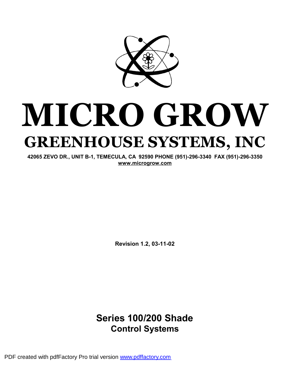

# **MICRO GROW GREENHOUSE SYSTEMS, INC**

**42065 ZEVO DR., UNIT B-1, TEMECULA, CA 92590 PHONE (951)-296-3340 FAX (951)-296-3350 [www.microgrow.com](http://www.microgrow.com)**

**Revision 1.2, 03-11-02** 

## **Series 100/200 Shade Control Systems**

PDF created with pdfFactory Pro trial version [www.pdffactory.com](http://www.pdffactory.com)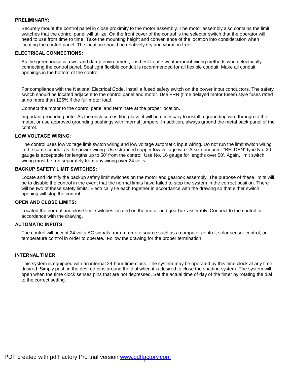#### **PRELIMINARY:**

Securely mount the control panel in close proximity to the motor assembly. The motor assembly also contains the limit switches that the control panel will utilize. On the front cover of the control is the selector switch that the operator will need to use from time to time. Take the mounting height and convenience of the location into consideration when locating the control panel. The location should be relatively dry and vibration free.

#### **ELECTRICAL CONNECTIONS:**

As the greenhouse is a wet and damp environment, it is best to use weatherproof wiring methods when electrically connecting the control panel. Seal tight flexible conduit is recommended for all flexible conduit. Make all conduit openings in the bottom of the control.

For compliance with the National Electrical Code, install a fused safety switch on the power input conductors. The safety switch should be located adjacent to the control panel and motor. Use FRN (time delayed motor fuses) style fuses rated at no more than 125% if the full motor load.

Connect the motor to the control panel and terminate at the proper location.

Important grounding note: As the enclosure is fiberglass, it will be necessary to install a grounding wire through to the motor, or use approved grounding bushings with internal jumpers. In addition, always ground the metal back panel of the control.

#### **LOW VOLTAGE WIRING:**

The control uses low voltage limit switch wiring and low voltage automatic input wiring. Do not run the limit switch wiring in the same conduit as the power wiring. Use stranded copper low voltage wire. A six-conductor "BELDEN" type No. 20 gauge is acceptable for lengths up to 50' from the control. Use No. 16 gauge for lengths over 50'. Again, limit switch wiring must be run separately from any wiring over 24 volts.

#### **BACKUP SAFETY LIMIT SWITCHES:**

Locate and identify the backup safety limit switches on the motor and gearbox assembly. The purpose of these limits will be to disable the control in the event that the normal limits have failed to stop the system in the correct position. There will be two of these safety limits. Electrically tie each together in accordance with the drawing so that either switch opening will stop the control.

#### **OPEN AND CLOSE LIMITS:**

Located the normal and close limit switches located on the motor and gearbox assembly. Connect to the control in accordance with the drawing.

#### **AUTOMATIC INPUTS:**

The control will accept 24 volts AC signals from a remote source such as a computer control, solar sensor control, or temperature control in order to operate. Follow the drawing for the proper termination.

#### **INTERNAL TIMER:**

This system is equipped with an internal 24-hour time clock. The system may be operated by this time clock at any time desired. Simply push in the desired pins around the dial when it is desired to close the shading system. The system will open when the time clock senses pins that are not depressed. Set the actual time of day of the timer by rotating the dial to the correct setting.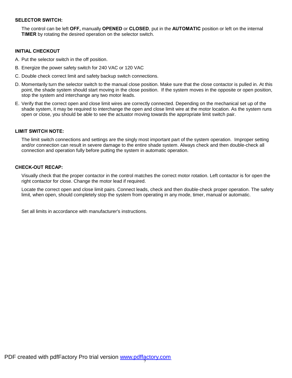#### **SELECTOR SWITCH:**

The control can be left **OFF,** manually **OPENED** or **CLOSED**, put in the **AUTOMATIC** position or left on the internal **TIMER** by rotating the desired operation on the selector switch.

#### **INITIAL CHECKOUT**

- A. Put the selector switch in the off position.
- B. Energize the power safety switch for 240 VAC or 120 VAC
- C. Double check correct limit and safety backup switch connections.
- D. Momentarily turn the selector switch to the manual close position. Make sure that the close contactor is pulled in. At this point, the shade system should start moving in the close position. If the system moves in the opposite or open position, stop the system and interchange any two motor leads.
- E. Verify that the correct open and close limit wires are correctly connected. Depending on the mechanical set up of the shade system, it may be required to interchange the open and close limit wire at the motor location. As the system runs open or close, you should be able to see the actuator moving towards the appropriate limit switch pair.

#### **LIMIT SWITCH NOTE:**

The limit switch connections and settings are the singly most important part of the system operation. Improper setting and/or connection can result in severe damage to the entire shade system. Always check and then double-check all connection and operation fully before putting the system in automatic operation.

#### **CHECK-OUT RECAP:**

Visually check that the proper contactor in the control matches the correct motor rotation. Left contactor is for open the right contactor for close. Change the motor lead if required.

Locate the correct open and close limit pairs. Connect leads, check and then double-check proper operation. The safety limit, when open, should completely stop the system from operating in any mode, timer, manual or automatic.

Set all limits in accordance with manufacturer's instructions.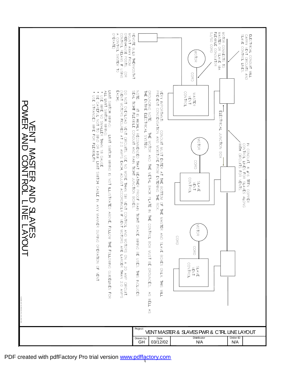REMOTE BULB THERMOSTAT<br>GRENT AWAY POSM<br>CONTROL RELAYS IF USING<br>CONTROL RELAYS IF USING<br>A CONTROL SYSTEM TO<br>OPERATE) SJ/SO CORD FLEXIBLE CONDUITOR MOTOR CONNECTS TO<br>Master or slave via SLAVE CONTROL LINES. ELECTRICAL CONDUIT WILL<br>CARRY VENT CIRCUITS AND **MOTOR** CORD DO NOT OVERLOAD VENT CIRCUITS. USE NO MORE THAN SIX VENT CONTROL AND MOTORS ON A 20 AMP CIRCUIT.<br>(VENT MOTORS FIGURED AT 2.0 AMPS EACH, ADJUST ACCORDINGLY IF VENT MOTORS ARE LARGER THAN 2.0 AMPS<br>EACH). LIMIT SWITCH WRNG: LIMIT SWITCH WRNG IS NOT ILLUSTRATED ABOVE, FOLLOW THE FOLLOWNG GUIDEL<br>\* USE WRE NO SMALLER THAN 18 GAUGE<br>\* DSE CAREFUL NOT TO BND OR KINK LIMIT SWITCH CABLE IN ANY MANNER DURING OPERATION OF VENT<br>\* USE NOTE: I I I IS HIT FORDEN ANDER TIGEN ALLER PROOF RAIN ISLE ORNER CHALLE DE SINGLI DE SINGLI DE SINGLI DE SING<br>NOTE: I II IS HIT FORDEN ANDER PROOF ISLE DE SINGLI DE SINGLI DE SINGLI DE SINGLI DE SINGLI DE SINGLI DE SINGL VEN THE WILL ON THE SALES ONLY. THE SANG BOXES ONLY THE MASTER AND SLAVE BOXES ONLY. THIS WILL WAT THIS WILL SANG BOXES ONLY. THIS WILL SANG BOXES ONLY. THIS WILL SANG BOXES ONLY. THIS WILL SANG BOXES ONLY. THIS MILL SANG VENT<br>CONTROL ORONOMONO I THE SA WELL AS WELL AND SONDON WAS DRIVED THE CONTROL DACK THE SONDON OR SONDING IN THE CONDON SASTER IN THE SAME CONDON SASTER THE SAME CONDON MASTER POWE ELECTRICAL JUNCTION BOX  $\,<$ 刀 ПÌ  $\overline{\angle}$ AND LINIT SWING CODENS IS A SERVER THE FOLLOW THE CODE CONSTRUCT ON A SERVER ON STRING HOLD  $\overline{\phantom{0}}$ MOTOR IN CONDUIT, 4 #16 TFFN COPPER<br>CONTROL LINES FOR SLAVES ALONG<br>VITH CIRCUITS FOR VENTS.  $\leq$  $\bigcirc$ AST CORD O  $\bar{\bm{Z}}$  $\blacksquare$  $\overline{\phantom{0}}$ 刀 CONTROL 刀 SLAVE<br>VENT O AND Ě  $\overline{\mathsf{Z}}$ ည  $\blacksquare$ AVES  $\overline{\phantom{0}}$ MOTOR AYOUT CORD CORD **CONTROL** SLAVE<br>VENT FILENAME: M-S LAYOUT.DWG Projec VENTMASTER& SLAVESPWR& CTRL LINELAYOUT Order ID Drawn by Date Distributor<br>03/12/02 N/A **GH** N/A N/A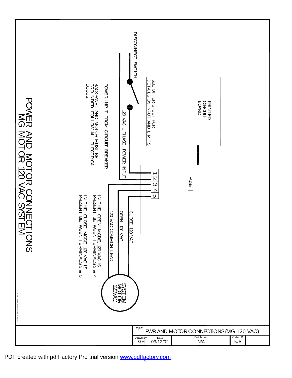<sub>Date</sub><br>03/12/02 PWR AND MOTOR CONNECTIONS (MG 120 VAC) 120 VAC 1 P କ<br>ନ POW E R z ਤ<br>ਜ P<br>M≫ m 刀 AND  $\leq$  $\mathrel{\mathsf{Q}}$ O 元  $\bigcirc$ O<br>Z<br>Z  $\blacksquare$ SNO<sub>I</sub>  $\leq$ G  $\leq$  $\mathrel{\mathsf{Q}}$ O 万 1<br>20 VAC SYSTEM  $\rightarrow$  $\overline{2}$  $\overline{\mathbf{c}}$  $\overline{4}$  $\sigma$ ENAM PWR MG 120VAC.DWG 120  $\lesssim$ C OMM O N L<br>B z 그<br>규 "O 卍 N" MODE, ট্র  $\lessapprox$ <u>ග</u> PR<br>ESERT BETWEEN TERMIN<br>R ح<br>3ء & 4 PR<br>ESEMP BETWEEN TERMIN ح<br>3ء  $\sigma$ Z 구<br>규 ี<br>C<br>O  $\frac{m}{2}$ MODE, ই  $\lessapprox$ ភ SS<br>SHO<br>SKS OTOR Drawn by GH Project 120VAC OPEN, 120  $\lessapprox$ CLOSE, ই  $\lessapprox$  $\frac{1}{2}$  $\mathsf{q}$ H<br>贾 SHEET<br>T ፓ<br>ይ D<br>T AILS  $\mathsf S$ Z ጋ<br>ገ }<br>a× LIMITS CO D ES. POW E R z ይ<br>ዝ F R O M C<br>R ⊆<br>∃ BREAKER BACKPANEL }<br>∂ M OT O R א<br>βפ 阳<br>m G RO UND E D. TO<br>T g ALL m<br>m  $\Xi$ RICAL<br>R DISCONNECT SWTICH F USE N/A N/A Distributor Order ID CIRCUIT<br>ROARD<br>BOARD PRIN<br>N TED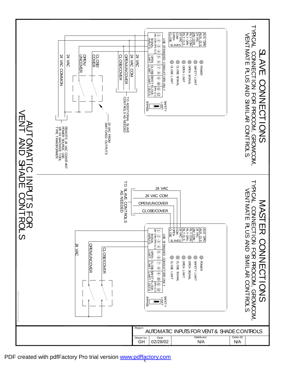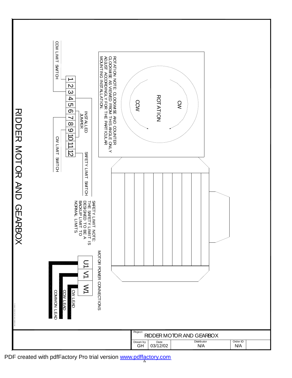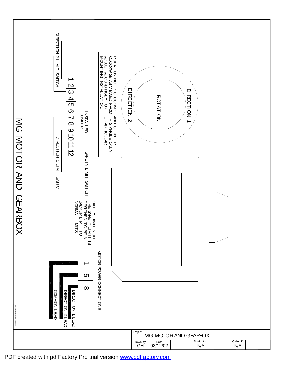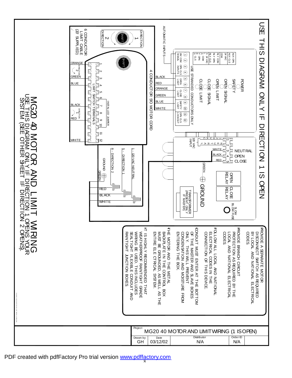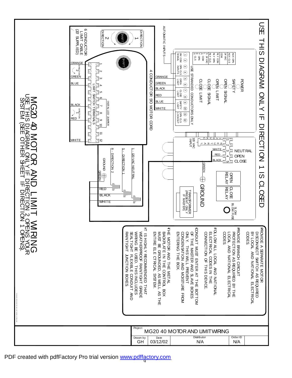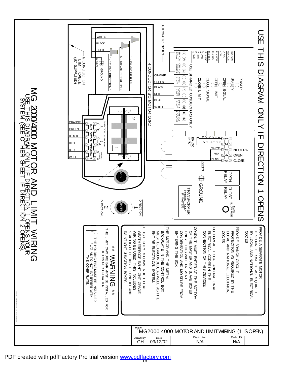$\leq$ G 2000/4000  $\leq$  $\mathrel{\mathsf{Q}}$ O 万  $\blacktriangleright$  $\boldsymbol{Z}$  $\bm{\mathsf{\nabla}}$ LIM<br>H **NID**  $\subset$  ${\sf H}$  $\overline{\phantom{0}}$ エ<br>の DIAG ጆ<br>ዶ  $\mathsf{\Xi}$ O Ž  $\overline{\phantom{a}}$  $\prec$  $\overline{\mathsf{h}}$ ロ<br>RI<br>而 CTIO Ź د O R Z OZ<br>H‱<br>Z≼ **MONE** T. mi  $\leq$ (SEE  $\mathrel{\mathsf{Q}}$ H m<br>刀  $\Delta$ E<br>E  $\overline{\phantom{0}}$  $\overline{\mathsf{n}}$ ロ<br>RI<br>而 CTIO N  $\overline{c}$  $\tilde{\bm{\omega}}$ 

> AME: MG2000-4000 MOT ÷. OPEN ).DWG

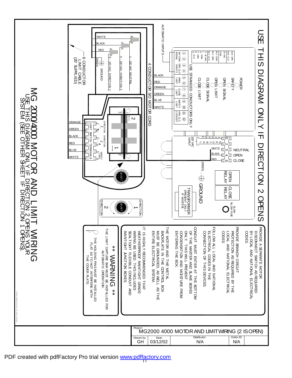$\leq$ G 2000/4000  $\leq$  $\mathrel{\mathsf{Q}}$ O 万  $\blacktriangleright$  $\boldsymbol{Z}$  $\bm{\mathsf{\nabla}}$ LIM<br>H **NID**  $\subset$  ${\sf f}$ ብ  $\overline{\phantom{0}}$ エ<br>の DIAG ጆ<br>ዶ  $\mathsf{\Xi}$ O Ž  $\overline{\phantom{a}}$  $\prec$  $\overline{\mathsf{h}}$ ロ<br>RI<br>而 CTIO N  $\mathsf{\omega}$ O R Z OZ<br>H‱<br>Z≼ **MONE** T. mi  $\leq$ (SEE  $\mathrel{\mathsf{Q}}$ H m<br>刀  $\Delta$ E<br>E  $\overline{\phantom{0}}$  $\overline{\mathsf{n}}$ ロ<br>RI<br>而 CTIO N  $\overline{\phantom{0}}$  $\tilde{\bm{\omega}}$ 

> AME: MG2000-4000 MOT ÷. OPEN ).DWG

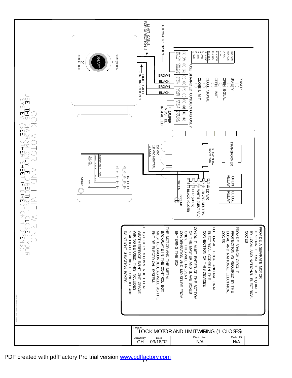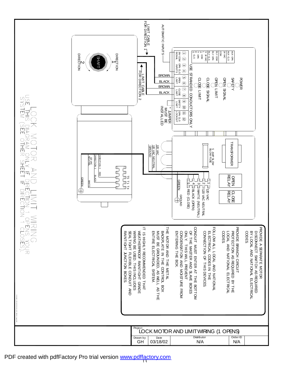FOR<br>FOR LIMIT AUTO DIRECTION 1 MATIC CABLE INPUTS e>m<br>C<br>S<br>S<br>S r o Ę Ę Ę COM 24 VAC AUX AUX SIGNAL 24V  $\overline{\phantom{0}}$ **DIRECTION** DIRECTION **DIRECTION** DIRECTION 24 VAC င္ပ<br>ဖ g g SH COM င္ပ<br>တ g  $\overline{c}$ AFT g INPUTS ω r<br>S င<br>က 4 FOR SIE<br>FOR DIE BROWN STRANDED LIMIT OPEN ပာ Power<br>Refer CLOSE CLOSE O<br>DHZ O<br>DHZ SAFETY DIRECTION 2 **BLACK** ග BROWN CABLE LIMIT<br>COOE ~ LIMIT SIGNAL BLACK LIMIT SIGNAL REE THIS<br>SIHT 320  $\circ$  $^{\circ}$ ONDUCTORS ara<br>20 9<br>10 9 9 INSTALLED \* JUMPER<br>REMO<br>MUST BE LOCKOUT g ュ ငှ<br>က ನ O<br>K BE DIAGRAM<br>USEE OTHE OHHER *TRANSFORMER* LOPEN COPEN CORPORANCE 12 120 GROUND BLOW 5 AMP  $\delta$ VAC DIRECTION 1 DIRECTION 2 NEUTRAL NEUTRAL  $\frac{Z}{\prec}$ RECTION<sub>1</sub> RECTION<sub>2</sub> FUSE 120 VAC SHEET SLOW **PERE**<br>PERE addog RED BLACK OPELAY<br>PELAY T5 T1 T4 GREEN<br>GREEN 「F DIRECTION」 C ø GREEN WHITE<br>H ပာ 4 ω  $\sim$  $\overline{\phantom{0}}$ WHITE <u>।</u> **RLOSE**<br>RELAY R<br>D BLACK 120  $\bigoplus_{i=1}^{\infty}$ S GROUND  $\Im$ (CLOSE) (OPEN) (NEUTRAL) NEUTRAL NIRINGSES):<br>TOPENS XOUR<br>TOPENS XOUR PROVIDE BRANCH CIRCUIT C ONDUIT IT 구<br>규 FOLLOW PROVIDE PROVIDE MIRING WEATHERPROOF RAINTIGHT GRADE WEATHERPROOF ENTIRE ELECTRICAL SYSTEM. C ONLY. OF C C ODES. C ODES. RAINTIGHT JUNCTION BOXES. RAINTIGHT SEALTIGHT צ<br>≌ב BACKPLATE ENTERING ELECTRICAL LOCAL PROTECTION 叉 D<br>B ភ ONDENSATION ONNECTION M OTOR 5 HIGHTY 그<br>규 ONNECT CAL 阳 ALL A AND BRANCH THIS M<br>S 阳 ELECTRICAL M ASTER SEPARATE GROUNDED, AND AND 구<br>규 USED. REC O M LOCAL JUNCTION FLEXIBLE  $\overline{z}$ NATIONAL  $\leq$ CODES  $\%$ SWITCH OF ENTER 구<br>규 그<br>규 CIRCUIT NATIONAL BOX. }<br>6 REQUIRED RAINTIGHT AND THIS THIS MENDED PREVENT }<br>6 M OTOR CONTROL z METAL SYSTEM. M AT AS AS C ONDUIT S<br>NE OISTURE DEVICES. INCLUDES  $\frac{1}{1}$ ELECTRICAL NATIONAL 구<br>규 MELL<br>T REQUIRED ELECTRICAL BY THAT BOXES BOTT BOX  $\vec{r}$ AS ≧<br>O FROM  $\vec{r}$ OM LIMIT open).DWG noject<br>LOCK MOTOR AND LIMITWIRING (1 OPENS) Distributor Order ID Drawn by GH <sup>Date</sup><br>03/18/02 N/A N/A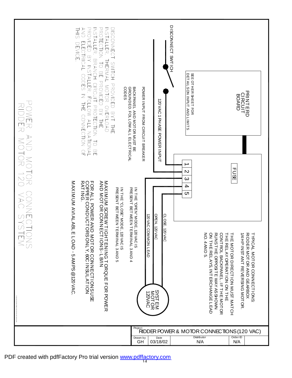| NONA NOTOR 120 YAC SYSTADOWER AND MOTOR CONNECTION | FRINTER: BRANCH CROTECTION ALL NOTION OF TORING BENNICH ON ALL NATION OF SANGE CONNECTION OF SANGE CONNECTION OF SANGE CONNECTION OF SANGE CONNECTION OF SANGE CONNECTION OF SANGE CONNECTION OF SANGE CONNECTION OF SANGE CON<br>PROTECTION TO BE PROVIDED BY THE<br>INSTALLER.<br>DISCONNED BYT INGHOVDED BYT ITE<br>三<br>AND ELECTRICAL CODES<br><b>DEVICE</b><br>THERMAL MOTOR OVERLOAD<br>CODES<br>THE CONNECTION | BACKPANEL AND MOT OR MUST BE<br>GROUNDED. FOLLOW ALL ELECTRICAL<br>POWER INPUT FROM CIRCUIT BREAKER<br><b>120 VAC 1 PHASE BOWER INPUT</b>                                | <b>DISCONNECT SMTICH</b><br>DETAILSON INPUT AND LIMITS<br>SEE OTHER SHEET FOR<br>$\mathbf{v}$ | <b>PRINTERD<br/>CIRCUIT<br/>BOARD</b><br><b>FUSE</b>                                                                                                                                                                                                                                                                                                                        |
|----------------------------------------------------|------------------------------------------------------------------------------------------------------------------------------------------------------------------------------------------------------------------------------------------------------------------------------------------------------------------------------------------------------------------------------------------------------------------------|--------------------------------------------------------------------------------------------------------------------------------------------------------------------------|-----------------------------------------------------------------------------------------------|-----------------------------------------------------------------------------------------------------------------------------------------------------------------------------------------------------------------------------------------------------------------------------------------------------------------------------------------------------------------------------|
|                                                    | FOR ALL POWER AND MOTOR CONNECTIONS USE<br>COPPER CONDUCTORS ONLY, 60C IN SULATION<br>RATING.<br>NYN MOLOK GONNECH IOHLENING HOKGOF FOK POWFIK<br>KND MOLOK GONNECH IONS - IT BAN<br>MAXIMUM AVIALABLE LOAD -5 AMPS @120 VAC<br>IN THE "CLOSE" MODE, 120 VAC IS<br>PRESENT BETWEEN TERMINAL 3 AND 5                                                                                                                    | IN THE "OPEN" MODE, 120 VAC IS<br>PRESENT BETWEEN TERMINAL 3 AND 4<br>OPEN, 120 VAC<br>CLOSE, 120 VAC<br><b>120 VAC COMMON LEAD</b><br><b>SYSTEM<br/>MOTOR</b><br>120VAC | $\infty$<br>4<br>C                                                                            | <b>NO. 4AND 5.</b><br>ON THE RELAYS, INTERCHANGE LEAD<br>RUNSTHE OPPOSITE WAY AS SHOWN<br>CONTROL BACKPANEL.IFTHE MOTOR<br>THE MOTOR DIRECTION MUST MAT CH<br>THE RELAY OPERATION ON THE<br><b>1/4 HP INST ANT REVERSING MOT OR</b><br><b>AIDDER MOTOR AND GEARBOX</b><br><b>TYPICAL MOTOR CONNECTIONS:</b><br><b>Follock DDDER POWER &amp; MOTOR CONNECTIONS (120 VAC)</b> |
|                                                    |                                                                                                                                                                                                                                                                                                                                                                                                                        | $\overline{\begin{array}{c}\text{Drawn by}\\ \text{GH}\end{array}}$<br>Date<br>03/18/02                                                                                  | Distributor                                                                                   | Order ID<br>N/A<br>N/A                                                                                                                                                                                                                                                                                                                                                      |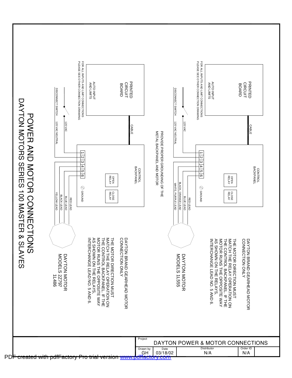PLEASE SEE OTHER CONNECTION DRAWING PLEASE SEE OTHER CONNECTION DRAWING PLEASE SEE OTHER FOR ALL INPUTS AND LIMIT CONNECTIONS FOR ALL PLEASE SEE OTHER FOR ALL INPUTS AND LIMIT CONNECTIONS FOR ALL INPUTS AND INPUTS AND AUTO PRIN<br>N AUTO PRIN<br>N a<br>A CIRC }<br>6 CIRC BO BO DISCONNECT SWITCH DISCONNECT SWITCH DISCONNECT SWITCH DISCONNECT SWITCH CONNECTION AR<br>D CONNECTION AR<br>D LIMITS LIMITS TED TED INPUT INPUT ⊆<br>⊣ ⊆<br>⊣ CONNECTIONS CONNECTIONS DAYTON DRAWING DRAWING POW 120 VAC NEUTRAL 120 VAC NEUTRAL 120 120 CABLE CABLE VAC NEUTRAL  $\Im$ VAC NEUTRAL  $\Im$  $\leq$ METAL PROVIDE  $\blacksquare$  $\mathsf O$ 刀 TOR<br>P ይ AND CKPANEL AND PROPER  $\overline{\phantom{0}}$  $\overline{\phantom{0}}$ က  $\mathsf{c}$  $\mathsf{c}$  $\frac{\omega}{4}$  $\frac{\omega}{4}$ က<br>က GROUNDING  $\leq$ **CONTROL**<br>BACKPANEL CONTROL<br>BACKPANEL BACKPANEL BACKPANEL CONTROL CONTROL c٦ c٦ O RIES<br>R MOTOR GROUND 6-1 GROUND 6-1 OPEN RELAY OPEN RELAY  $\overline{\phantom{0}}$  $\overline{\mathsf{O}}$ BLACK, WHITE, OF CROUND<sub>®</sub> Coround 刀 THE 1<br>00 CLOSE RELAY CLOSE RELAY YELLOW ORANGE PURPLE BLACK  $\bigcirc$ P<br>F P<br>F R<br>O R<br>D O<br>Z<br>Z  $\leq$ LEAD E<br>B LEAD L<br>B LEAD F<br>B LEAD F<br>B  $\blacktriangleright$ ၯ  $\overline{\mathsf{m}}$  $\overline{\phantom{0}}$ m  $\bigcirc$ 刀 TIONS & IN TERC H A N GE AS ຣ  $\frac{1}{10}$ MATCH  $\frac{1}{10}$ CO N NEC DAY T ON ନ<br>ଉ M O TOR 구<br>규 MATCH 구<br>규 C O NNE C TIO N INTERCHAN DAYT က S<br>SHO TOR S<br>SHO LAVES ၁<br>၁ M O TOR CON T R OL ຣັ Q<br>œ ≶<br>Z THE M O D ELS DAYTON RUNS M O D ELS DAYTON ≶<br>Q<br>Q 二<br>市 TOR I<br>D<br>Z RUNS TROL B BRAND R<br>ND o<br>Z RELAY ရှ DIREC<br>C RELAY DIREC<br>C O NLY THE 국 ONLY  $\vec{=}$ LEA D LEAD N  $\frac{1}{10}$ ይ ACKPANEL. IF GEARHEAD M GEARHEAD 1L486 2 Z 797 M O TOR M O TOR CKP A NEL. IF T HE 1L OPP O SITE TION M U ST O<br>H OPP O SITE TION M U ST RELA Y S, O<br>H RELA Y S, N O. 5 A N D 55<br>55 O. 5 AND RATION RATION MO T OR WAY O T OR W THE თ o<br>Z თ AY O<br>Z Project DAYTON POWER & MOTOR CONNECTIONS Distributor Order ID Drawn by<br>GH <sub>Date</sub><br>03/18/02 N/A N/A PDF created with pdfFactory Pro trial version [www.pdffactory.com](http://www.pdffactory.com)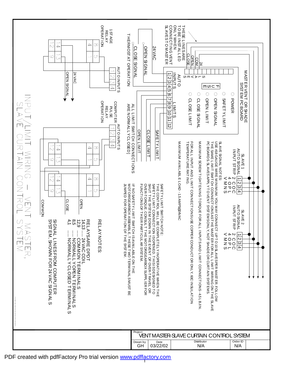